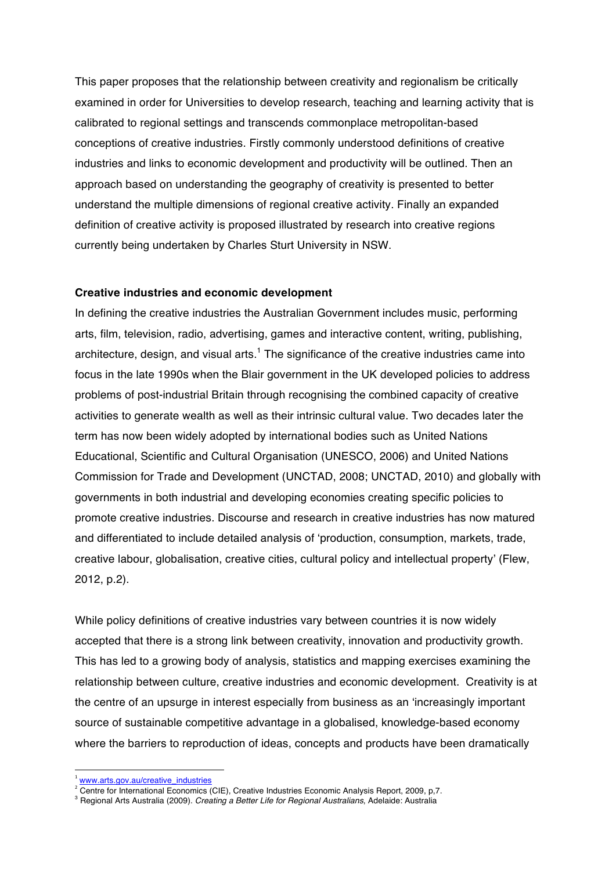This paper proposes that the relationship between creativity and regionalism be critically examined in order for Universities to develop research, teaching and learning activity that is calibrated to regional settings and transcends commonplace metropolitan-based conceptions of creative industries. Firstly commonly understood definitions of creative industries and links to economic development and productivity will be outlined. Then an approach based on understanding the geography of creativity is presented to better understand the multiple dimensions of regional creative activity. Finally an expanded definition of creative activity is proposed illustrated by research into creative regions currently being undertaken by Charles Sturt University in NSW.

### **Creative industries and economic development**

In defining the creative industries the Australian Government includes music, performing arts, film, television, radio, advertising, games and interactive content, writing, publishing, architecture, design, and visual arts.<sup>1</sup> The significance of the creative industries came into focus in the late 1990s when the Blair government in the UK developed policies to address problems of post-industrial Britain through recognising the combined capacity of creative activities to generate wealth as well as their intrinsic cultural value. Two decades later the term has now been widely adopted by international bodies such as United Nations Educational, Scientific and Cultural Organisation (UNESCO, 2006) and United Nations Commission for Trade and Development (UNCTAD, 2008; UNCTAD, 2010) and globally with governments in both industrial and developing economies creating specific policies to promote creative industries. Discourse and research in creative industries has now matured and differentiated to include detailed analysis of 'production, consumption, markets, trade, creative labour, globalisation, creative cities, cultural policy and intellectual property' (Flew, 2012, p.2).

While policy definitions of creative industries vary between countries it is now widely accepted that there is a strong link between creativity, innovation and productivity growth. This has led to a growing body of analysis, statistics and mapping exercises examining the relationship between culture, creative industries and economic development. Creativity is at the centre of an upsurge in interest especially from business as an 'increasingly important source of sustainable competitive advantage in a globalised, knowledge-based economy where the barriers to reproduction of ideas, concepts and products have been dramatically

 <sup>1</sup> www.arts.gov.au/creative\_industries

<sup>&</sup>lt;sup>2</sup> Centre for International Economics (CIE), Creative Industries Economic Analysis Report, 2009, p.7.

<sup>3</sup> Regional Arts Australia (2009). *Creating a Better Life for Regional Australians*, Adelaide: Australia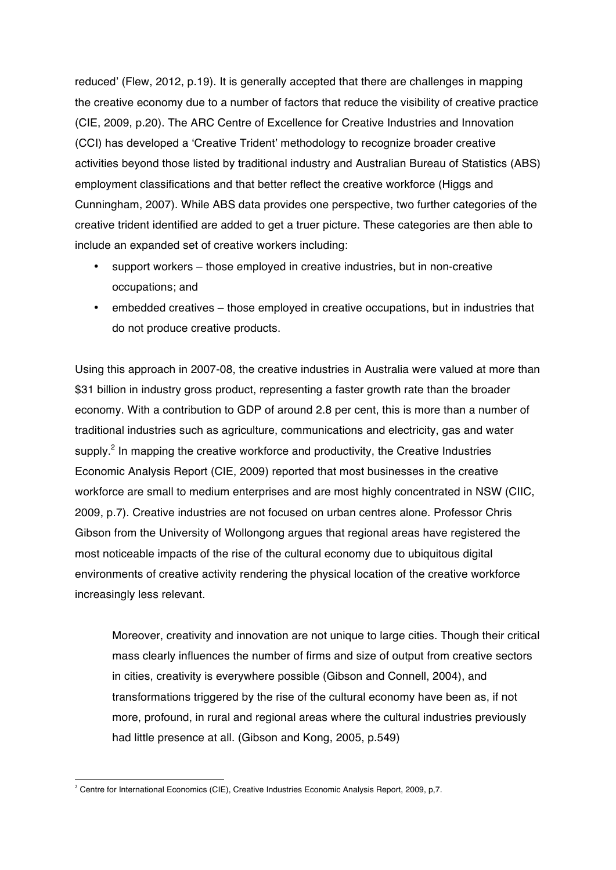reduced' (Flew, 2012, p.19). It is generally accepted that there are challenges in mapping the creative economy due to a number of factors that reduce the visibility of creative practice (CIE, 2009, p.20). The ARC Centre of Excellence for Creative Industries and Innovation (CCI) has developed a 'Creative Trident' methodology to recognize broader creative activities beyond those listed by traditional industry and Australian Bureau of Statistics (ABS) employment classifications and that better reflect the creative workforce (Higgs and Cunningham, 2007). While ABS data provides one perspective, two further categories of the creative trident identified are added to get a truer picture. These categories are then able to include an expanded set of creative workers including:

- support workers those employed in creative industries, but in non-creative occupations; and
- embedded creatives those employed in creative occupations, but in industries that do not produce creative products.

Using this approach in 2007-08, the creative industries in Australia were valued at more than \$31 billion in industry gross product, representing a faster growth rate than the broader economy. With a contribution to GDP of around 2.8 per cent, this is more than a number of traditional industries such as agriculture, communications and electricity, gas and water supply.<sup>2</sup> In mapping the creative workforce and productivity, the Creative Industries Economic Analysis Report (CIE, 2009) reported that most businesses in the creative workforce are small to medium enterprises and are most highly concentrated in NSW (CIIC, 2009, p.7). Creative industries are not focused on urban centres alone. Professor Chris Gibson from the University of Wollongong argues that regional areas have registered the most noticeable impacts of the rise of the cultural economy due to ubiquitous digital environments of creative activity rendering the physical location of the creative workforce increasingly less relevant.

Moreover, creativity and innovation are not unique to large cities. Though their critical mass clearly influences the number of firms and size of output from creative sectors in cities, creativity is everywhere possible (Gibson and Connell, 2004), and transformations triggered by the rise of the cultural economy have been as, if not more, profound, in rural and regional areas where the cultural industries previously had little presence at all. (Gibson and Kong, 2005, p.549)

<u> 1989 - Jan Samuel Barbara, político establecido de la provincia de la provincia de la provincia de la provinci</u>

<sup>&</sup>lt;sup>2</sup> Centre for International Economics (CIE), Creative Industries Economic Analysis Report, 2009, p.7.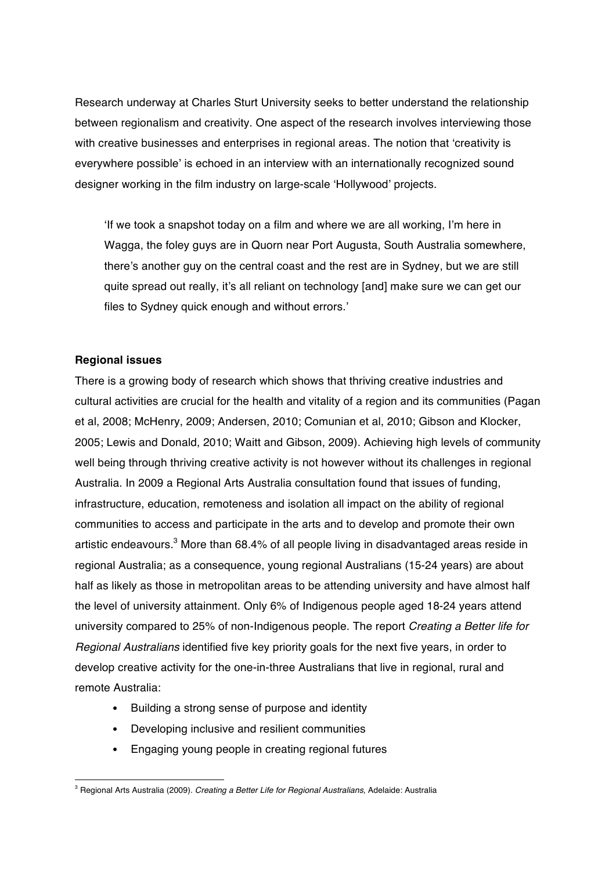Research underway at Charles Sturt University seeks to better understand the relationship between regionalism and creativity. One aspect of the research involves interviewing those with creative businesses and enterprises in regional areas. The notion that 'creativity is everywhere possible' is echoed in an interview with an internationally recognized sound designer working in the film industry on large-scale 'Hollywood' projects.

'If we took a snapshot today on a film and where we are all working, I'm here in Wagga, the foley guys are in Quorn near Port Augusta, South Australia somewhere, there's another guy on the central coast and the rest are in Sydney, but we are still quite spread out really, it's all reliant on technology [and] make sure we can get our files to Sydney quick enough and without errors.'

# **Regional issues**

There is a growing body of research which shows that thriving creative industries and cultural activities are crucial for the health and vitality of a region and its communities (Pagan et al, 2008; McHenry, 2009; Andersen, 2010; Comunian et al, 2010; Gibson and Klocker, 2005; Lewis and Donald, 2010; Waitt and Gibson, 2009). Achieving high levels of community well being through thriving creative activity is not however without its challenges in regional Australia. In 2009 a Regional Arts Australia consultation found that issues of funding, infrastructure, education, remoteness and isolation all impact on the ability of regional communities to access and participate in the arts and to develop and promote their own artistic endeavours.<sup>3</sup> More than 68.4% of all people living in disadvantaged areas reside in regional Australia; as a consequence, young regional Australians (15-24 years) are about half as likely as those in metropolitan areas to be attending university and have almost half the level of university attainment. Only 6% of Indigenous people aged 18-24 years attend university compared to 25% of non-Indigenous people. The report *Creating a Better life for Regional Australians* identified five key priority goals for the next five years, in order to develop creative activity for the one-in-three Australians that live in regional, rural and remote Australia:

- Building a strong sense of purpose and identity
- Developing inclusive and resilient communities

<u> 1989 - Jan Samuel Barbara, político establecido de la provincia de la provincia de la provincia de la provinci</u>

• Engaging young people in creating regional futures

<sup>3</sup> Regional Arts Australia (2009). *Creating a Better Life for Regional Australians*, Adelaide: Australia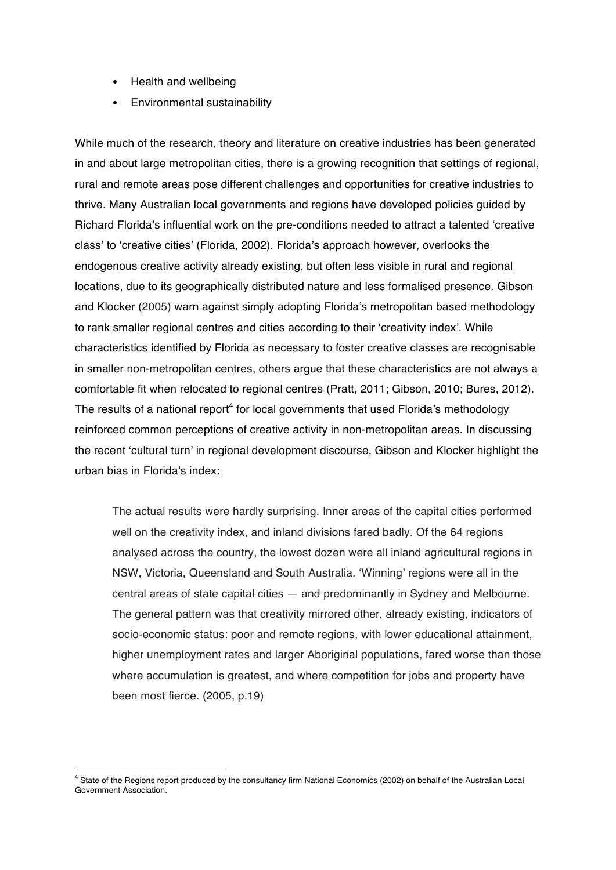- Health and wellbeing
- Environmental sustainability

While much of the research, theory and literature on creative industries has been generated in and about large metropolitan cities, there is a growing recognition that settings of regional, rural and remote areas pose different challenges and opportunities for creative industries to thrive. Many Australian local governments and regions have developed policies guided by Richard Florida's influential work on the pre-conditions needed to attract a talented 'creative class' to 'creative cities' (Florida, 2002). Florida's approach however, overlooks the endogenous creative activity already existing, but often less visible in rural and regional locations, due to its geographically distributed nature and less formalised presence. Gibson and Klocker (2005) warn against simply adopting Florida's metropolitan based methodology to rank smaller regional centres and cities according to their 'creativity index'. While characteristics identified by Florida as necessary to foster creative classes are recognisable in smaller non-metropolitan centres, others argue that these characteristics are not always a comfortable fit when relocated to regional centres (Pratt, 2011; Gibson, 2010; Bures, 2012). The results of a national report<sup>4</sup> for local governments that used Florida's methodology reinforced common perceptions of creative activity in non-metropolitan areas. In discussing the recent 'cultural turn' in regional development discourse, Gibson and Klocker highlight the urban bias in Florida's index:

The actual results were hardly surprising. Inner areas of the capital cities performed well on the creativity index, and inland divisions fared badly. Of the 64 regions analysed across the country, the lowest dozen were all inland agricultural regions in NSW, Victoria, Queensland and South Australia. 'Winning' regions were all in the central areas of state capital cities — and predominantly in Sydney and Melbourne. The general pattern was that creativity mirrored other, already existing, indicators of socio-economic status: poor and remote regions, with lower educational attainment, higher unemployment rates and larger Aboriginal populations, fared worse than those where accumulation is greatest, and where competition for jobs and property have been most fierce. (2005, p.19)

 

<sup>4</sup> State of the Regions report produced by the consultancy firm National Economics (2002) on behalf of the Australian Local Government Association.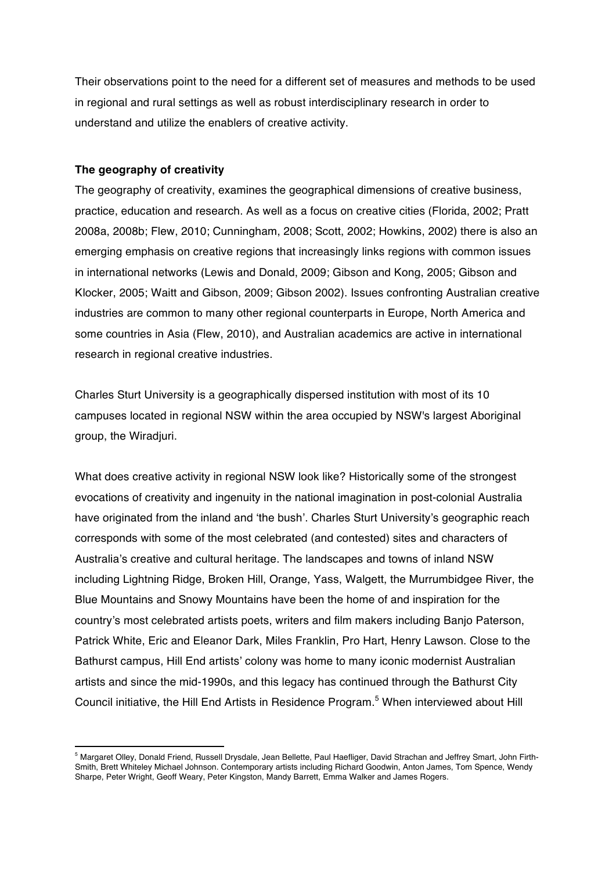Their observations point to the need for a different set of measures and methods to be used in regional and rural settings as well as robust interdisciplinary research in order to understand and utilize the enablers of creative activity.

### **The geography of creativity**

<u> 1989 - Jan Samuel Barbara, político establecido de la provincia de la provincia de la provincia de la provinci</u>

The geography of creativity, examines the geographical dimensions of creative business, practice, education and research. As well as a focus on creative cities (Florida, 2002; Pratt 2008a, 2008b; Flew, 2010; Cunningham, 2008; Scott, 2002; Howkins, 2002) there is also an emerging emphasis on creative regions that increasingly links regions with common issues in international networks (Lewis and Donald, 2009; Gibson and Kong, 2005; Gibson and Klocker, 2005; Waitt and Gibson, 2009; Gibson 2002). Issues confronting Australian creative industries are common to many other regional counterparts in Europe, North America and some countries in Asia (Flew, 2010), and Australian academics are active in international research in regional creative industries.

Charles Sturt University is a geographically dispersed institution with most of its 10 campuses located in regional NSW within the area occupied by NSW's largest Aboriginal group, the Wiradjuri.

What does creative activity in regional NSW look like? Historically some of the strongest evocations of creativity and ingenuity in the national imagination in post-colonial Australia have originated from the inland and 'the bush'. Charles Sturt University's geographic reach corresponds with some of the most celebrated (and contested) sites and characters of Australia's creative and cultural heritage. The landscapes and towns of inland NSW including Lightning Ridge, Broken Hill, Orange, Yass, Walgett, the Murrumbidgee River, the Blue Mountains and Snowy Mountains have been the home of and inspiration for the country's most celebrated artists poets, writers and film makers including Banjo Paterson, Patrick White, Eric and Eleanor Dark, Miles Franklin, Pro Hart, Henry Lawson. Close to the Bathurst campus, Hill End artists' colony was home to many iconic modernist Australian artists and since the mid-1990s, and this legacy has continued through the Bathurst City Council initiative, the Hill End Artists in Residence Program. <sup>5</sup> When interviewed about Hill

<sup>5</sup> Margaret Olley, Donald Friend, Russell Drysdale, Jean Bellette, Paul Haefliger, David Strachan and Jeffrey Smart, John Firth-Smith, Brett Whiteley Michael Johnson. Contemporary artists including Richard Goodwin, Anton James, Tom Spence, Wendy Sharpe, Peter Wright, Geoff Weary, Peter Kingston, Mandy Barrett, Emma Walker and James Rogers.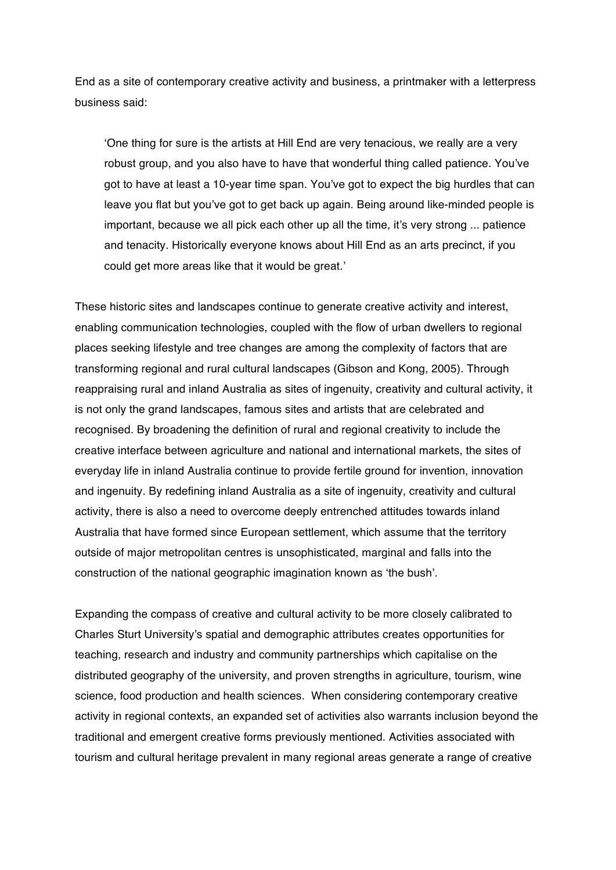End as a site of contemporary creative activity and business, a printmaker with a letterpress business said:

'One thing for sure is the artists at Hill End are very tenacious, we really are a very robust group, and you also have to have that wonderful thing called patience. You've got to have at least a 10-year time span. You've got to expect the big hurdles that can leave you flat but you've got to get back up again. Being around like-minded people is important, because we all pick each other up all the time, it's very strong ... patience and tenacity. Historically everyone knows about Hill End as an arts precinct, if you could get more areas like that it would be great.'

These historic sites and landscapes continue to generate creative activity and interest, enabling communication technologies, coupled with the flow of urban dwellers to regional places seeking lifestyle and tree changes are among the complexity of factors that are transforming regional and rural cultural landscapes (Gibson and Kong, 2005). Through reappraising rural and inland Australia as sites of ingenuity, creativity and cultural activity, it is not only the grand landscapes, famous sites and artists that are celebrated and recognised. By broadening the definition of rural and regional creativity to include the creative interface between agriculture and national and international markets, the sites of everyday life in inland Australia continue to provide fertile ground for invention, innovation and ingenuity. By redefining inland Australia as a site of ingenuity, creativity and cultural activity, there is also a need to overcome deeply entrenched attitudes towards inland Australia that have formed since European settlement*,* which assume that the territory outside of major metropolitan centres is unsophisticated, marginal and falls into the construction of the national geographic imagination known as 'the bush'.

Expanding the compass of creative and cultural activity to be more closely calibrated to Charles Sturt University's spatial and demographic attributes creates opportunities for teaching, research and industry and community partnerships which capitalise on the distributed geography of the university, and proven strengths in agriculture, tourism, wine science, food production and health sciences. When considering contemporary creative activity in regional contexts, an expanded set of activities also warrants inclusion beyond the traditional and emergent creative forms previously mentioned. Activities associated with tourism and cultural heritage prevalent in many regional areas generate a range of creative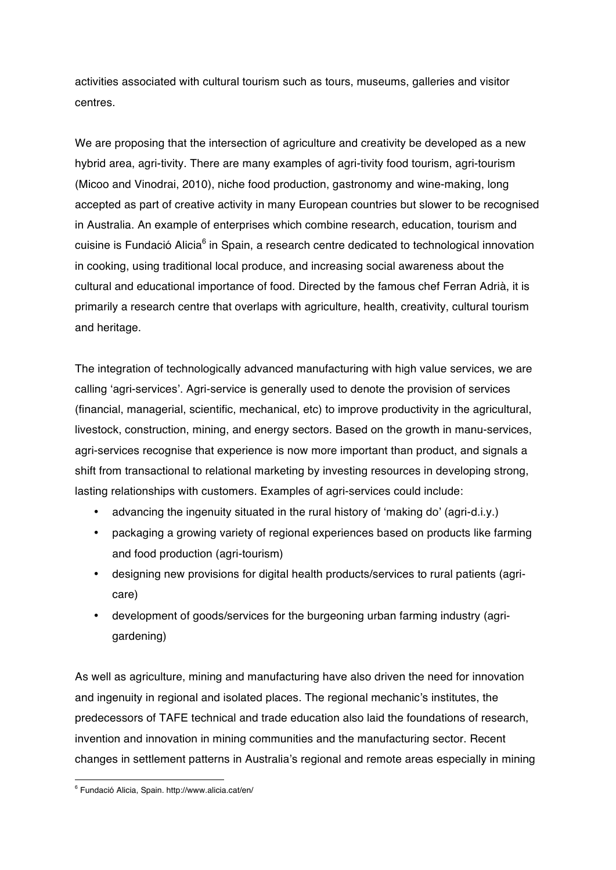activities associated with cultural tourism such as tours, museums, galleries and visitor centres.

We are proposing that the intersection of agriculture and creativity be developed as a new hybrid area, agri-tivity. There are many examples of agri-tivity food tourism, agri-tourism (Micoo and Vinodrai, 2010), niche food production, gastronomy and wine-making, long accepted as part of creative activity in many European countries but slower to be recognised in Australia. An example of enterprises which combine research, education, tourism and cuisine is Fundació Alicia<sup>6</sup> in Spain, a research centre dedicated to technological innovation in cooking, using traditional local produce, and increasing social awareness about the cultural and educational importance of food. Directed by the famous chef Ferran Adrià, it is primarily a research centre that overlaps with agriculture, health, creativity, cultural tourism and heritage.

The integration of technologically advanced manufacturing with high value services, we are calling 'agri-services'. Agri-service is generally used to denote the provision of services (financial, managerial, scientific, mechanical, etc) to improve productivity in the agricultural, livestock, construction, mining, and energy sectors. Based on the growth in manu-services, agri-services recognise that experience is now more important than product, and signals a shift from transactional to relational marketing by investing resources in developing strong, lasting relationships with customers. Examples of agri-services could include:

- advancing the ingenuity situated in the rural history of 'making do' (agri-d.i.y.)
- packaging a growing variety of regional experiences based on products like farming and food production (agri-tourism)
- designing new provisions for digital health products/services to rural patients (agricare)
- development of goods/services for the burgeoning urban farming industry (agrigardening)

As well as agriculture, mining and manufacturing have also driven the need for innovation and ingenuity in regional and isolated places. The regional mechanic's institutes, the predecessors of TAFE technical and trade education also laid the foundations of research, invention and innovation in mining communities and the manufacturing sector. Recent changes in settlement patterns in Australia's regional and remote areas especially in mining

<u> 1989 - Jan Samuel Barbara, político establecido de la provincia de la provincia de la provincia de la provinci</u>

<sup>6</sup> Fundació Alicia, Spain. http://www.alicia.cat/en/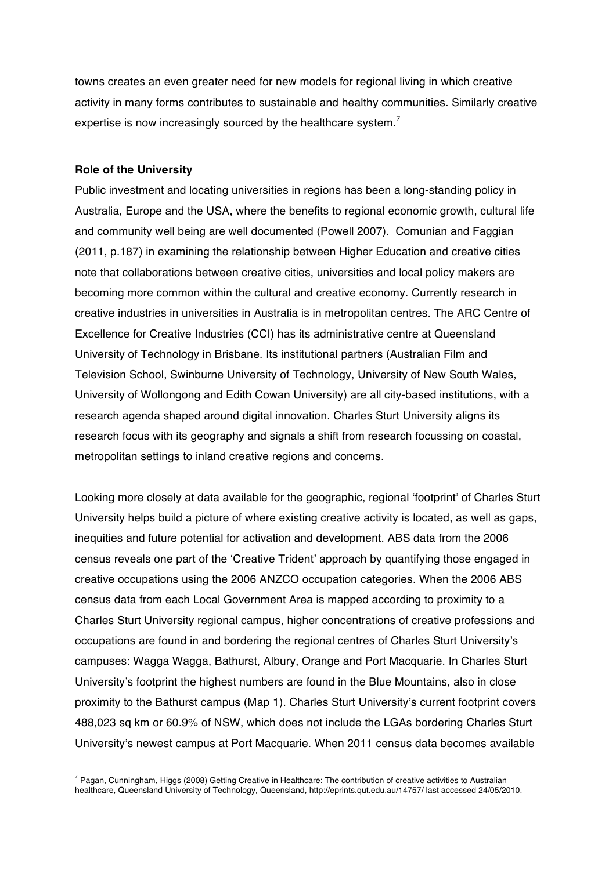towns creates an even greater need for new models for regional living in which creative activity in many forms contributes to sustainable and healthy communities. Similarly creative expertise is now increasingly sourced by the healthcare system.<sup>7</sup>

#### **Role of the University**

 

Public investment and locating universities in regions has been a long-standing policy in Australia, Europe and the USA, where the benefits to regional economic growth, cultural life and community well being are well documented (Powell 2007). Comunian and Faggian (2011, p.187) in examining the relationship between Higher Education and creative cities note that collaborations between creative cities, universities and local policy makers are becoming more common within the cultural and creative economy. Currently research in creative industries in universities in Australia is in metropolitan centres. The ARC Centre of Excellence for Creative Industries (CCI) has its administrative centre at Queensland University of Technology in Brisbane. Its institutional partners (Australian Film and Television School, Swinburne University of Technology, University of New South Wales, University of Wollongong and Edith Cowan University) are all city-based institutions, with a research agenda shaped around digital innovation. Charles Sturt University aligns its research focus with its geography and signals a shift from research focussing on coastal, metropolitan settings to inland creative regions and concerns.

Looking more closely at data available for the geographic, regional 'footprint' of Charles Sturt University helps build a picture of where existing creative activity is located, as well as gaps, inequities and future potential for activation and development. ABS data from the 2006 census reveals one part of the 'Creative Trident' approach by quantifying those engaged in creative occupations using the 2006 ANZCO occupation categories. When the 2006 ABS census data from each Local Government Area is mapped according to proximity to a Charles Sturt University regional campus, higher concentrations of creative professions and occupations are found in and bordering the regional centres of Charles Sturt University's campuses: Wagga Wagga, Bathurst, Albury, Orange and Port Macquarie. In Charles Sturt University's footprint the highest numbers are found in the Blue Mountains, also in close proximity to the Bathurst campus (Map 1). Charles Sturt University's current footprint covers 488,023 sq km or 60.9% of NSW, which does not include the LGAs bordering Charles Sturt University's newest campus at Port Macquarie. When 2011 census data becomes available

 $7$  Pagan, Cunningham, Higgs (2008) Getting Creative in Healthcare: The contribution of creative activities to Australian healthcare, Queensland University of Technology, Queensland, http://eprints.qut.edu.au/14757/ last accessed 24/05/2010.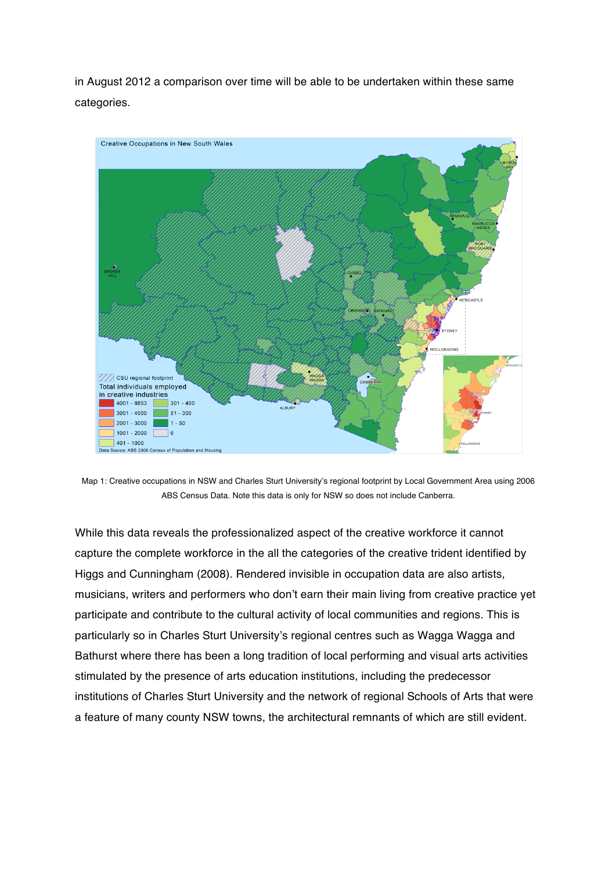in August 2012 a comparison over time will be able to be undertaken within these same categories.



Map 1: Creative occupations in NSW and Charles Sturt University's regional footprint by Local Government Area using 2006 ABS Census Data. Note this data is only for NSW so does not include Canberra.

While this data reveals the professionalized aspect of the creative workforce it cannot capture the complete workforce in the all the categories of the creative trident identified by Higgs and Cunningham (2008). Rendered invisible in occupation data are also artists, musicians, writers and performers who don't earn their main living from creative practice yet participate and contribute to the cultural activity of local communities and regions. This is particularly so in Charles Sturt University's regional centres such as Wagga Wagga and Bathurst where there has been a long tradition of local performing and visual arts activities stimulated by the presence of arts education institutions, including the predecessor institutions of Charles Sturt University and the network of regional Schools of Arts that were a feature of many county NSW towns, the architectural remnants of which are still evident.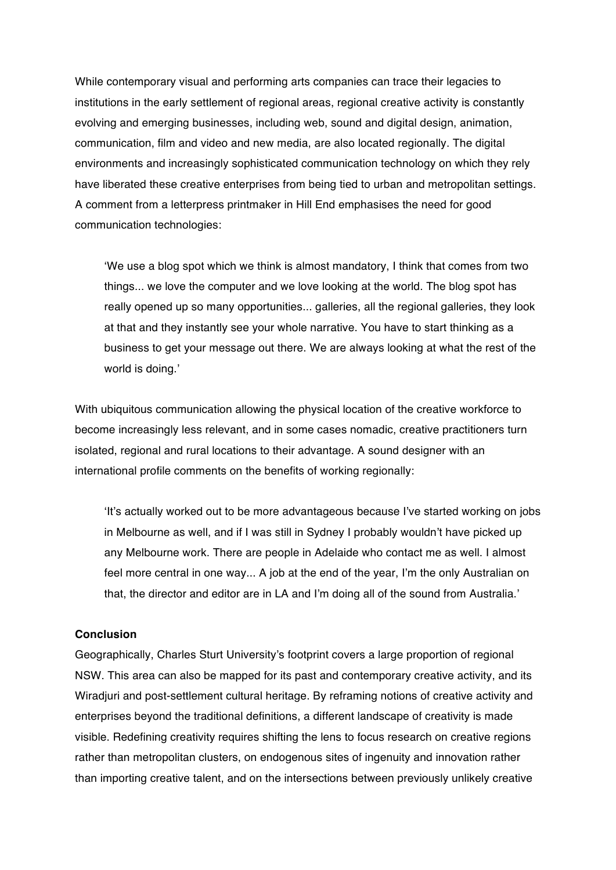While contemporary visual and performing arts companies can trace their legacies to institutions in the early settlement of regional areas, regional creative activity is constantly evolving and emerging businesses, including web, sound and digital design, animation, communication, film and video and new media, are also located regionally. The digital environments and increasingly sophisticated communication technology on which they rely have liberated these creative enterprises from being tied to urban and metropolitan settings. A comment from a letterpress printmaker in Hill End emphasises the need for good communication technologies:

'We use a blog spot which we think is almost mandatory, I think that comes from two things... we love the computer and we love looking at the world. The blog spot has really opened up so many opportunities... galleries, all the regional galleries, they look at that and they instantly see your whole narrative. You have to start thinking as a business to get your message out there. We are always looking at what the rest of the world is doing.'

With ubiquitous communication allowing the physical location of the creative workforce to become increasingly less relevant, and in some cases nomadic, creative practitioners turn isolated, regional and rural locations to their advantage. A sound designer with an international profile comments on the benefits of working regionally:

'It's actually worked out to be more advantageous because I've started working on jobs in Melbourne as well, and if I was still in Sydney I probably wouldn't have picked up any Melbourne work. There are people in Adelaide who contact me as well. I almost feel more central in one way... A job at the end of the year, I'm the only Australian on that, the director and editor are in LA and I'm doing all of the sound from Australia.'

## **Conclusion**

Geographically, Charles Sturt University's footprint covers a large proportion of regional NSW. This area can also be mapped for its past and contemporary creative activity, and its Wiradjuri and post-settlement cultural heritage. By reframing notions of creative activity and enterprises beyond the traditional definitions, a different landscape of creativity is made visible. Redefining creativity requires shifting the lens to focus research on creative regions rather than metropolitan clusters, on endogenous sites of ingenuity and innovation rather than importing creative talent, and on the intersections between previously unlikely creative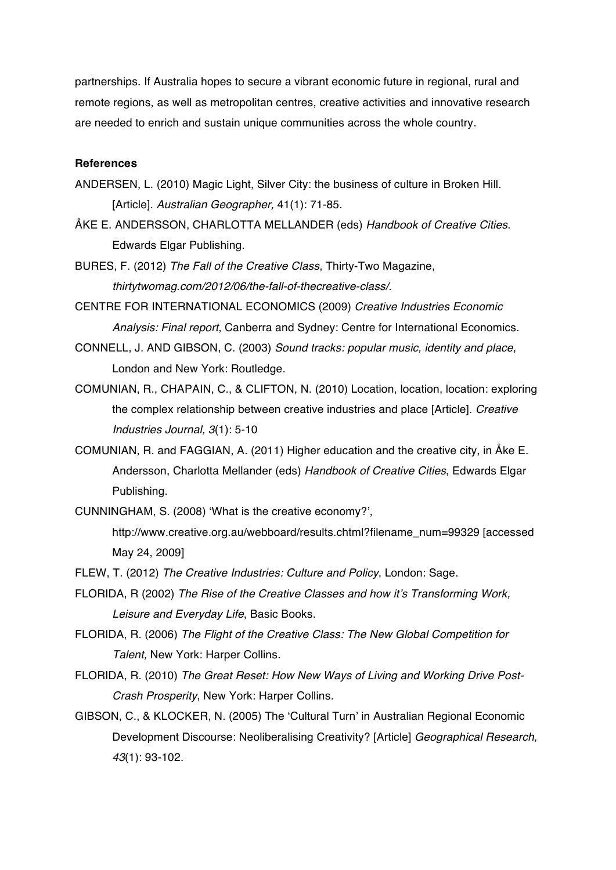partnerships. If Australia hopes to secure a vibrant economic future in regional, rural and remote regions, as well as metropolitan centres, creative activities and innovative research are needed to enrich and sustain unique communities across the whole country.

## **References**

- ANDERSEN, L. (2010) Magic Light, Silver City: the business of culture in Broken Hill. [Article]. *Australian Geographer,* 41(1): 71-85.
- ÅKE E. ANDERSSON, CHARLOTTA MELLANDER (eds) *Handbook of Creative Cities*. Edwards Elgar Publishing.
- BURES, F. (2012) *The Fall of the Creative Class*, Thirty-Two Magazine, *thirtytwomag.com/2012/06/the-fall-of-thecreative-class/.*
- CENTRE FOR INTERNATIONAL ECONOMICS (2009) *Creative Industries Economic Analysis: Final report*, Canberra and Sydney: Centre for International Economics.
- CONNELL, J. AND GIBSON, C. (2003) *Sound tracks: popular music, identity and place*, London and New York: Routledge.
- COMUNIAN, R., CHAPAIN, C., & CLIFTON, N. (2010) Location, location, location: exploring the complex relationship between creative industries and place [Article]. *Creative Industries Journal, 3*(1): 5-10
- COMUNIAN, R. and FAGGIAN, A. (2011) Higher education and the creative city, in Åke E. Andersson, Charlotta Mellander (eds) *Handbook of Creative Cities*, Edwards Elgar Publishing.
- CUNNINGHAM, S. (2008) 'What is the creative economy?',
	- http://www.creative.org.au/webboard/results.chtml?filename\_num=99329 [accessed May 24, 2009]
- FLEW, T. (2012) *The Creative Industries: Culture and Policy*, London: Sage.
- FLORIDA, R (2002) *The Rise of the Creative Classes and how it's Transforming Work, Leisure and Everyday Life*, Basic Books.
- FLORIDA, R. (2006) *The Flight of the Creative Class: The New Global Competition for Talent,* New York: Harper Collins.
- FLORIDA, R. (2010) *The Great Reset: How New Ways of Living and Working Drive Post-Crash Prosperity*, New York: Harper Collins.
- GIBSON, C., & KLOCKER, N. (2005) The 'Cultural Turn' in Australian Regional Economic Development Discourse: Neoliberalising Creativity? [Article] *Geographical Research, 43*(1): 93-102.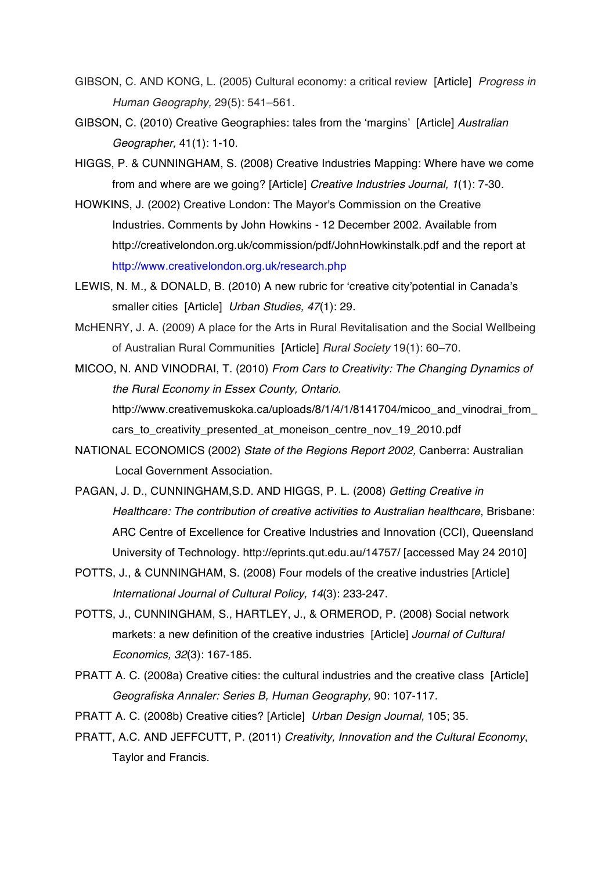- GIBSON, C. AND KONG, L. (2005) Cultural economy: a critical review [Article] *Progress in Human Geography,* 29(5): 541–561.
- GIBSON, C. (2010) Creative Geographies: tales from the 'margins' [Article] *Australian Geographer,* 41(1): 1-10.
- HIGGS, P. & CUNNINGHAM, S. (2008) Creative Industries Mapping: Where have we come from and where are we going? [Article] *Creative Industries Journal, 1*(1): 7-30.
- HOWKINS, J. (2002) Creative London: The Mayor's Commission on the Creative Industries. Comments by John Howkins - 12 December 2002. Available from http://creativelondon.org.uk/commission/pdf/JohnHowkinstalk.pdf and the report at http://www.creativelondon.org.uk/research.php
- LEWIS, N. M., & DONALD, B. (2010) A new rubric for 'creative city'potential in Canada's smaller cities [Article] *Urban Studies, 47*(1): 29.
- McHENRY, J. A. (2009) A place for the Arts in Rural Revitalisation and the Social Wellbeing of Australian Rural Communities [Article] *Rural Society* 19(1): 60–70.
- MICOO, N. AND VINODRAI, T. (2010) *From Cars to Creativity: The Changing Dynamics of the Rural Economy in Essex County, Ontario.* http://www.creativemuskoka.ca/uploads/8/1/4/1/8141704/micoo\_and\_vinodrai\_from cars\_to\_creativity\_presented\_at\_moneison\_centre\_nov\_19\_2010.pdf
- NATIONAL ECONOMICS (2002) *State of the Regions Report 2002,* Canberra: Australian Local Government Association.
- PAGAN, J. D., CUNNINGHAM,S.D. AND HIGGS, P. L. (2008) *Getting Creative in Healthcare: The contribution of creative activities to Australian healthcare*, Brisbane: ARC Centre of Excellence for Creative Industries and Innovation (CCI), Queensland University of Technology. http://eprints.qut.edu.au/14757/ [accessed May 24 2010]
- POTTS, J., & CUNNINGHAM, S. (2008) Four models of the creative industries [Article] *International Journal of Cultural Policy, 14*(3): 233-247.
- POTTS, J., CUNNINGHAM, S., HARTLEY, J., & ORMEROD, P. (2008) Social network markets: a new definition of the creative industries [Article] *Journal of Cultural Economics, 32*(3): 167-185.
- PRATT A. C. (2008a) Creative cities: the cultural industries and the creative class [Article] *Geografiska Annaler: Series B, Human Geography,* 90: 107-117.
- PRATT A. C. (2008b) Creative cities? [Article] *Urban Design Journal,* 105; 35.
- PRATT, A.C. AND JEFFCUTT, P. (2011) *Creativity, Innovation and the Cultural Economy*, Taylor and Francis.